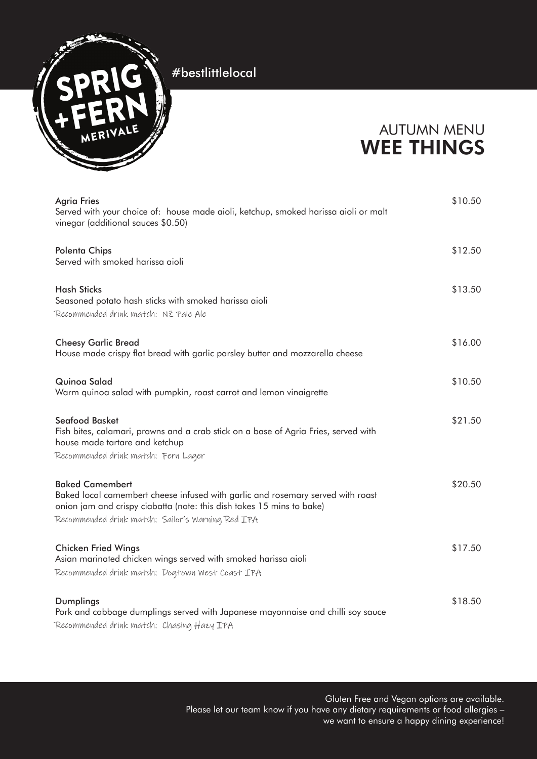

### AUTUMN MENU WEE THINGS

| <b>Agria Fries</b><br>Served with your choice of: house made aioli, ketchup, smoked harissa aioli or malt<br>vinegar (additional sauces \$0.50)                                                                                         | \$10.50 |
|-----------------------------------------------------------------------------------------------------------------------------------------------------------------------------------------------------------------------------------------|---------|
| <b>Polenta Chips</b><br>Served with smoked harissa aioli                                                                                                                                                                                | \$12.50 |
| <b>Hash Sticks</b><br>Seasoned potato hash sticks with smoked harissa aioli<br>Recommended drink match: NZ Pale Ale                                                                                                                     | \$13.50 |
| <b>Cheesy Garlic Bread</b><br>House made crispy flat bread with garlic parsley butter and mozzarella cheese                                                                                                                             | \$16.00 |
| Quinoa Salad<br>Warm quinoa salad with pumpkin, roast carrot and lemon vinaigrette                                                                                                                                                      | \$10.50 |
| <b>Seafood Basket</b><br>Fish bites, calamari, prawns and a crab stick on a base of Agria Fries, served with<br>house made tartare and ketchup<br>Recommended drink match: Fern Lager                                                   | \$21.50 |
| <b>Baked Camembert</b><br>Baked local camembert cheese infused with garlic and rosemary served with roast<br>onion jam and crispy ciabatta (note: this dish takes 15 mins to bake)<br>Recommended drink match: Sailor's Warning Red IPA | \$20.50 |
| <b>Chicken Fried Wings</b><br>Asian marinated chicken wings served with smoked harissa aioli<br>Recommended drink match: Dogtown West Coast IPA                                                                                         | \$17.50 |
| Dumplings<br>Pork and cabbage dumplings served with Japanese mayonnaise and chilli soy sauce<br>Recommended drink match: Chasing Hazy IPA                                                                                               | \$18.50 |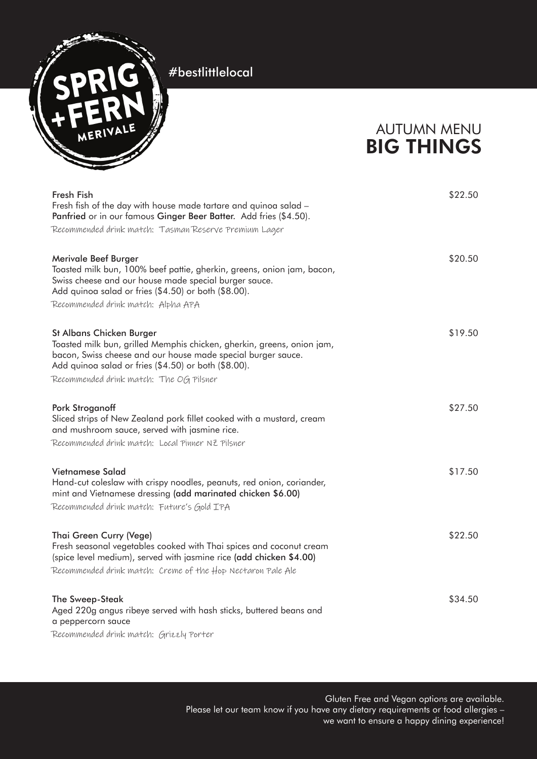

# AUTUMN MENU BIG THINGS

| Fresh Fish<br>Fresh fish of the day with house made tartare and quinoa salad -<br>Panfried or in our famous Ginger Beer Batter. Add fries (\$4.50).                                                                                  | \$22.50 |
|--------------------------------------------------------------------------------------------------------------------------------------------------------------------------------------------------------------------------------------|---------|
| Recommended drink match: Tasman Reserve Premium Lager                                                                                                                                                                                |         |
| Merivale Beef Burger<br>Toasted milk bun, 100% beef pattie, gherkin, greens, onion jam, bacon,<br>Swiss cheese and our house made special burger sauce.<br>Add quinoa salad or fries (\$4.50) or both (\$8.00).                      | \$20.50 |
| Recommended drink match: Alpha APA                                                                                                                                                                                                   |         |
| St Albans Chicken Burger<br>Toasted milk bun, grilled Memphis chicken, gherkin, greens, onion jam,<br>bacon, Swiss cheese and our house made special burger sauce.<br>Add quinoa salad or fries (\$4.50) or both (\$8.00).           | \$19.50 |
| Recommended drink match: The OG Pilsner                                                                                                                                                                                              |         |
| <b>Pork Stroganoff</b><br>Sliced strips of New Zealand pork fillet cooked with a mustard, cream<br>and mushroom sauce, served with jasmine rice.<br>Recommended drink match: Local Pinner NZ Pilsner                                 | \$27.50 |
| Vietnamese Salad<br>Hand-cut coleslaw with crispy noodles, peanuts, red onion, coriander,<br>mint and Vietnamese dressing (add marinated chicken \$6.00)<br>Recommended drink match: Future's Gold IPA                               | \$17.50 |
| Thai Green Curry (Vege)<br>Fresh seasonal vegetables cooked with Thai spices and coconut cream<br>(spice level medium), served with jasmine rice (add chicken \$4.00)<br>Recommended drink match: Creme of the Hop Nectaron Pale Ale | \$22.50 |
| The Sweep-Steak<br>Aged 220g angus ribeye served with hash sticks, buttered beans and<br>a peppercorn sauce<br>Recommended drink match: Grizzly Porter                                                                               | \$34.50 |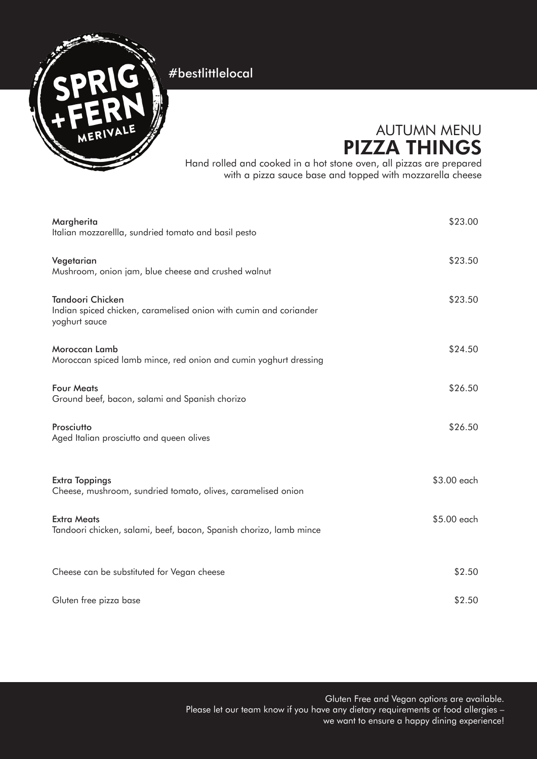

# AUTUMN MENU PIZZA THINGS

Hand rolled and cooked in a hot stone oven, all pizzas are prepared with a pizza sauce base and topped with mozzarella cheese

| Margherita<br>Italian mozzarellla, sundried tomato and basil pesto                                            | \$23.00     |
|---------------------------------------------------------------------------------------------------------------|-------------|
| Vegetarian<br>Mushroom, onion jam, blue cheese and crushed walnut                                             | \$23.50     |
| <b>Tandoori Chicken</b><br>Indian spiced chicken, caramelised onion with cumin and coriander<br>yoghurt sauce | \$23.50     |
| Moroccan Lamb<br>Moroccan spiced lamb mince, red onion and cumin yoghurt dressing                             | \$24.50     |
| <b>Four Meats</b><br>Ground beef, bacon, salami and Spanish chorizo                                           | \$26.50     |
| Prosciutto<br>Aged Italian prosciutto and queen olives                                                        | \$26.50     |
| <b>Extra Toppings</b><br>Cheese, mushroom, sundried tomato, olives, caramelised onion                         | \$3.00 each |
| <b>Extra Meats</b><br>Tandoori chicken, salami, beef, bacon, Spanish chorizo, lamb mince                      | \$5.00 each |
| Cheese can be substituted for Vegan cheese                                                                    | \$2.50      |
| Gluten free pizza base                                                                                        | \$2.50      |